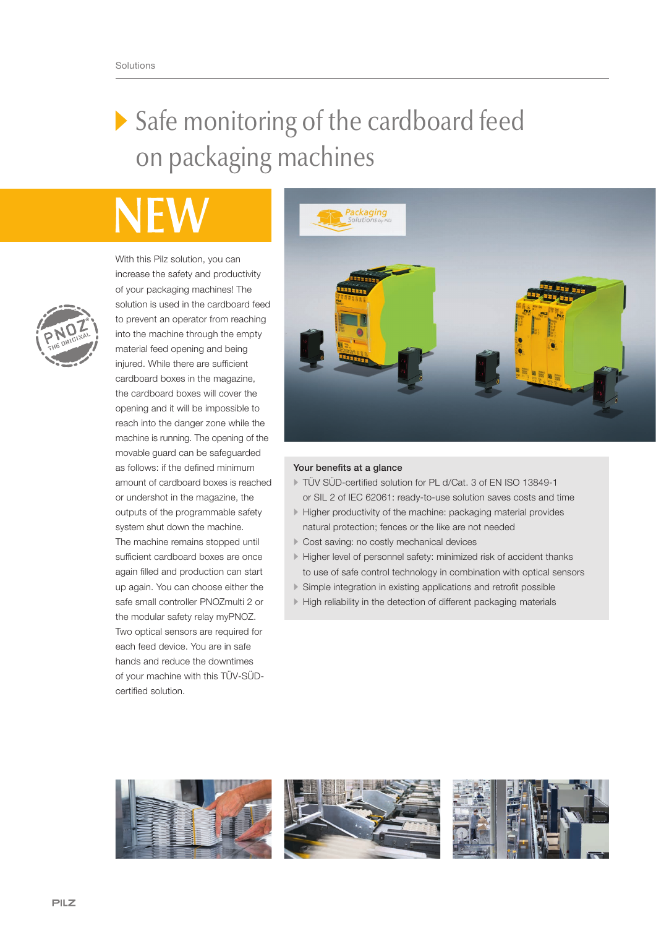# Safe monitoring of the cardboard feed on packaging machines

With this Pilz solution, you can increase the safety and productivity of your packaging machines! The solution is used in the cardboard feed to prevent an operator from reaching into the machine through the empty material feed opening and being injured. While there are sufficient cardboard boxes in the magazine, the cardboard boxes will cover the opening and it will be impossible to reach into the danger zone while the machine is running. The opening of the movable guard can be safeguarded as follows: if the defined minimum amount of cardboard boxes is reached or undershot in the magazine, the outputs of the programmable safety system shut down the machine. The machine remains stopped until sufficient cardboard boxes are once again filled and production can start up again. You can choose either the safe small controller PNOZmulti 2 or the modular safety relay myPNOZ. Two optical sensors are required for each feed device. You are in safe hands and reduce the downtimes of your machine with this TÜV-SÜDcertified solution.



## Your benefits at a glance

- TÜV SÜD-certified solution for PL d/Cat. 3 of EN ISO 13849-1 or SIL 2 of IEC 62061: ready-to-use solution saves costs and time
- Higher productivity of the machine: packaging material provides natural protection; fences or the like are not needed
- Cost saving: no costly mechanical devices
- Higher level of personnel safety: minimized risk of accident thanks to use of safe control technology in combination with optical sensors
- Simple integration in existing applications and retrofit possible
- High reliability in the detection of different packaging materials